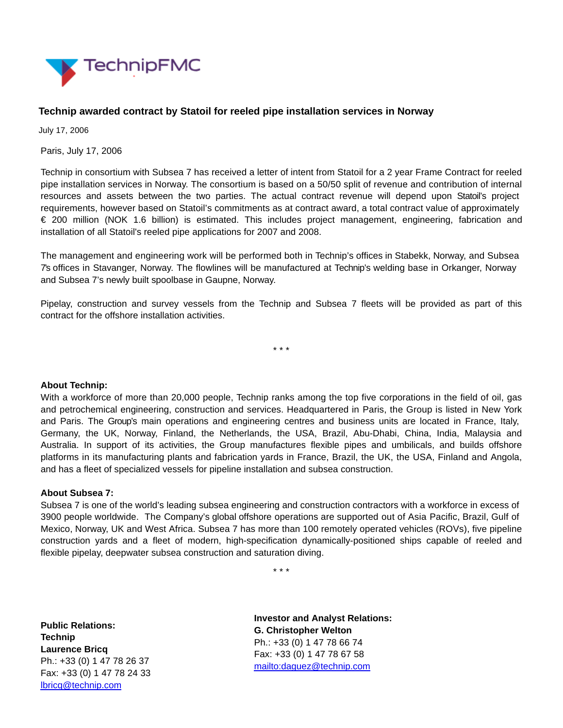

## **Technip awarded contract by Statoil for reeled pipe installation services in Norway**

July 17, 2006

Paris, July 17, 2006

Technip in consortium with Subsea 7 has received a letter of intent from Statoil for a 2 year Frame Contract for reeled pipe installation services in Norway. The consortium is based on a 50/50 split of revenue and contribution of internal resources and assets between the two parties. The actual contract revenue will depend upon Statoil's project requirements, however based on Statoil's commitments as at contract award, a total contract value of approximately € 200 million (NOK 1.6 billion) is estimated. This includes project management, engineering, fabrication and installation of all Statoil's reeled pipe applications for 2007 and 2008.

The management and engineering work will be performed both in Technip's offices in Stabekk, Norway, and Subsea 7's offices in Stavanger, Norway. The flowlines will be manufactured at Technip's welding base in Orkanger, Norway and Subsea 7's newly built spoolbase in Gaupne, Norway.

Pipelay, construction and survey vessels from the Technip and Subsea 7 fleets will be provided as part of this contract for the offshore installation activities.

\* \* \*

## **About Technip:**

With a workforce of more than 20,000 people, Technip ranks among the top five corporations in the field of oil, gas and petrochemical engineering, construction and services. Headquartered in Paris, the Group is listed in New York and Paris. The Group's main operations and engineering centres and business units are located in France, Italy, Germany, the UK, Norway, Finland, the Netherlands, the USA, Brazil, Abu-Dhabi, China, India, Malaysia and Australia. In support of its activities, the Group manufactures flexible pipes and umbilicals, and builds offshore platforms in its manufacturing plants and fabrication yards in France, Brazil, the UK, the USA, Finland and Angola, and has a fleet of specialized vessels for pipeline installation and subsea construction.

## **About Subsea 7:**

Subsea 7 is one of the world's leading subsea engineering and construction contractors with a workforce in excess of 3900 people worldwide. The Company's global offshore operations are supported out of Asia Pacific, Brazil, Gulf of Mexico, Norway, UK and West Africa. Subsea 7 has more than 100 remotely operated vehicles (ROVs), five pipeline construction yards and a fleet of modern, high-specification dynamically-positioned ships capable of reeled and flexible pipelay, deepwater subsea construction and saturation diving.

\* \* \*

**Public Relations: Technip Laurence Bricq** Ph.: +33 (0) 1 47 78 26 37 Fax: +33 (0) 1 47 78 24 33 [lbricq@technip.com](mailto:lbricq@technip.com)

**Investor and Analyst Relations: G. Christopher Welton** Ph.: +33 (0) 1 47 78 66 74 Fax: +33 (0) 1 47 78 67 58 <mailto:daguez@technip.com>